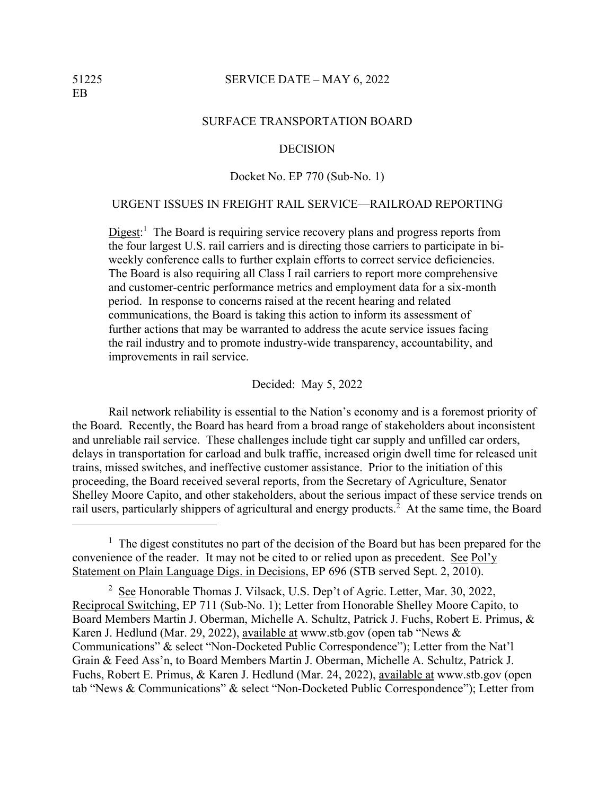#### 51225 SERVICE DATE – MAY 6, 2022

### SURFACE TRANSPORTATION BOARD

#### DECISION

## Docket No. EP 770 (Sub-No. 1)

# URGENT ISSUES IN FREIGHT RAIL SERVICE—RAILROAD REPORTING

 $Digest$ :<sup>1</sup> The Board is requiring service recovery plans and progress reports from the four largest U.S. rail carriers and is directing those carriers to participate in biweekly conference calls to further explain efforts to correct service deficiencies. The Board is also requiring all Class I rail carriers to report more comprehensive and customer-centric performance metrics and employment data for a six-month period. In response to concerns raised at the recent hearing and related communications, the Board is taking this action to inform its assessment of further actions that may be warranted to address the acute service issues facing the rail industry and to promote industry-wide transparency, accountability, and improvements in rail service.

#### Decided: May 5, 2022

Rail network reliability is essential to the Nation's economy and is a foremost priority of the Board. Recently, the Board has heard from a broad range of stakeholders about inconsistent and unreliable rail service. These challenges include tight car supply and unfilled car orders, delays in transportation for carload and bulk traffic, increased origin dwell time for released unit trains, missed switches, and ineffective customer assistance. Prior to the initiation of this proceeding, the Board received several reports, from the Secretary of Agriculture, Senator Shelley Moore Capito, and other stakeholders, about the serious impact of these service trends on rail users, particularly shippers of agricultural and energy products.<sup>2</sup> At the same time, the Board

<sup>&</sup>lt;sup>1</sup> The digest constitutes no part of the decision of the Board but has been prepared for the convenience of the reader. It may not be cited to or relied upon as precedent. See Pol'y Statement on Plain Language Digs. in Decisions, EP 696 (STB served Sept. 2, 2010).

 $2$  See Honorable Thomas J. Vilsack, U.S. Dep't of Agric. Letter, Mar. 30, 2022, Reciprocal Switching, EP 711 (Sub-No. 1); Letter from Honorable Shelley Moore Capito, to Board Members Martin J. Oberman, Michelle A. Schultz, Patrick J. Fuchs, Robert E. Primus, & Karen J. Hedlund (Mar. 29, 2022), available at www.stb.gov (open tab "News & Communications" & select "Non-Docketed Public Correspondence"); Letter from the Nat'l Grain & Feed Ass'n, to Board Members Martin J. Oberman, Michelle A. Schultz, Patrick J. Fuchs, Robert E. Primus, & Karen J. Hedlund (Mar. 24, 2022), available at www.stb.gov (open tab "News & Communications" & select "Non-Docketed Public Correspondence"); Letter from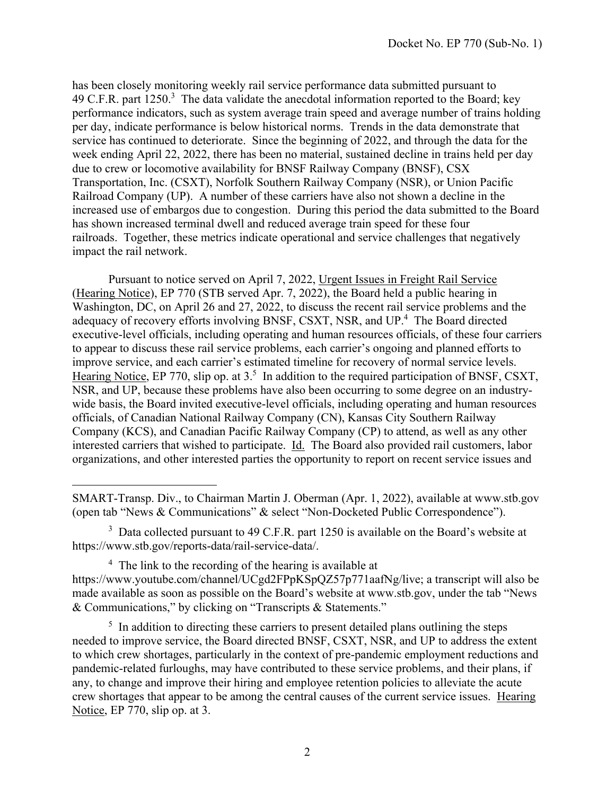has been closely monitoring weekly rail service performance data submitted pursuant to 49 C.F.R. part  $1250$ <sup>3</sup>. The data validate the anecdotal information reported to the Board; key performance indicators, such as system average train speed and average number of trains holding per day, indicate performance is below historical norms. Trends in the data demonstrate that service has continued to deteriorate. Since the beginning of 2022, and through the data for the week ending April 22, 2022, there has been no material, sustained decline in trains held per day due to crew or locomotive availability for BNSF Railway Company (BNSF), CSX Transportation, Inc. (CSXT), Norfolk Southern Railway Company (NSR), or Union Pacific Railroad Company (UP). A number of these carriers have also not shown a decline in the increased use of embargos due to congestion. During this period the data submitted to the Board has shown increased terminal dwell and reduced average train speed for these four railroads. Together, these metrics indicate operational and service challenges that negatively impact the rail network.

Pursuant to notice served on April 7, 2022, Urgent Issues in Freight Rail Service (Hearing Notice), EP 770 (STB served Apr. 7, 2022), the Board held a public hearing in Washington, DC, on April 26 and 27, 2022, to discuss the recent rail service problems and the adequacy of recovery efforts involving BNSF, CSXT, NSR, and UP.<sup>4</sup> The Board directed executive-level officials, including operating and human resources officials, of these four carriers to appear to discuss these rail service problems, each carrier's ongoing and planned efforts to improve service, and each carrier's estimated timeline for recovery of normal service levels. Hearing Notice, EP 770, slip op. at  $3<sup>5</sup>$  In addition to the required participation of BNSF, CSXT, NSR, and UP, because these problems have also been occurring to some degree on an industrywide basis, the Board invited executive-level officials, including operating and human resources officials, of Canadian National Railway Company (CN), Kansas City Southern Railway Company (KCS), and Canadian Pacific Railway Company (CP) to attend, as well as any other interested carriers that wished to participate. Id. The Board also provided rail customers, labor organizations, and other interested parties the opportunity to report on recent service issues and

SMART-Transp. Div., to Chairman Martin J. Oberman (Apr. 1, 2022), available at www.stb.gov (open tab "News & Communications" & select "Non-Docketed Public Correspondence").

 $3$  Data collected pursuant to 49 C.F.R. part 1250 is available on the Board's website at https://www.stb.gov/reports-data/rail-service-data/.

<sup>&</sup>lt;sup>4</sup> The link to the recording of the hearing is available at https://www.youtube.com/channel/UCgd2FPpKSpQZ57p771aafNg/live; a transcript will also be made available as soon as possible on the Board's website at www.stb.gov, under the tab "News & Communications," by clicking on "Transcripts & Statements."

 $<sup>5</sup>$  In addition to directing these carriers to present detailed plans outlining the steps</sup> needed to improve service, the Board directed BNSF, CSXT, NSR, and UP to address the extent to which crew shortages, particularly in the context of pre-pandemic employment reductions and pandemic-related furloughs, may have contributed to these service problems, and their plans, if any, to change and improve their hiring and employee retention policies to alleviate the acute crew shortages that appear to be among the central causes of the current service issues. Hearing Notice, EP 770, slip op. at 3.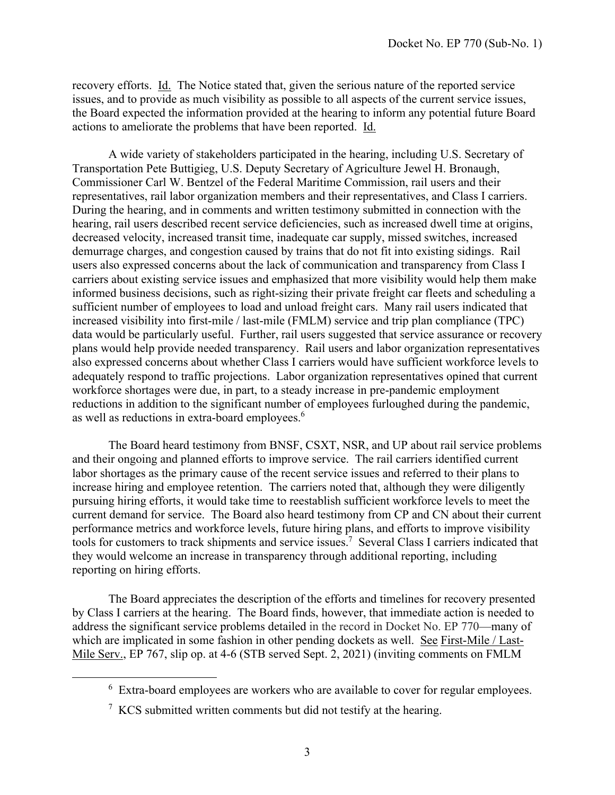recovery efforts. Id. The Notice stated that, given the serious nature of the reported service issues, and to provide as much visibility as possible to all aspects of the current service issues, the Board expected the information provided at the hearing to inform any potential future Board actions to ameliorate the problems that have been reported. Id.

A wide variety of stakeholders participated in the hearing, including U.S. Secretary of Transportation Pete Buttigieg, U.S. Deputy Secretary of Agriculture Jewel H. Bronaugh, Commissioner Carl W. Bentzel of the Federal Maritime Commission, rail users and their representatives, rail labor organization members and their representatives, and Class I carriers. During the hearing, and in comments and written testimony submitted in connection with the hearing, rail users described recent service deficiencies, such as increased dwell time at origins, decreased velocity, increased transit time, inadequate car supply, missed switches, increased demurrage charges, and congestion caused by trains that do not fit into existing sidings. Rail users also expressed concerns about the lack of communication and transparency from Class I carriers about existing service issues and emphasized that more visibility would help them make informed business decisions, such as right-sizing their private freight car fleets and scheduling a sufficient number of employees to load and unload freight cars. Many rail users indicated that increased visibility into first-mile / last-mile (FMLM) service and trip plan compliance (TPC) data would be particularly useful. Further, rail users suggested that service assurance or recovery plans would help provide needed transparency. Rail users and labor organization representatives also expressed concerns about whether Class I carriers would have sufficient workforce levels to adequately respond to traffic projections. Labor organization representatives opined that current workforce shortages were due, in part, to a steady increase in pre-pandemic employment reductions in addition to the significant number of employees furloughed during the pandemic, as well as reductions in extra-board employees.<sup>6</sup>

The Board heard testimony from BNSF, CSXT, NSR, and UP about rail service problems and their ongoing and planned efforts to improve service. The rail carriers identified current labor shortages as the primary cause of the recent service issues and referred to their plans to increase hiring and employee retention. The carriers noted that, although they were diligently pursuing hiring efforts, it would take time to reestablish sufficient workforce levels to meet the current demand for service. The Board also heard testimony from CP and CN about their current performance metrics and workforce levels, future hiring plans, and efforts to improve visibility tools for customers to track shipments and service issues.<sup>7</sup> Several Class I carriers indicated that they would welcome an increase in transparency through additional reporting, including reporting on hiring efforts.

The Board appreciates the description of the efforts and timelines for recovery presented by Class I carriers at the hearing. The Board finds, however, that immediate action is needed to address the significant service problems detailed in the record in Docket No. EP 770—many of which are implicated in some fashion in other pending dockets as well. See First-Mile / Last-Mile Serv., EP 767, slip op. at 4-6 (STB served Sept. 2, 2021) (inviting comments on FMLM

 $6$  Extra-board employees are workers who are available to cover for regular employees.

 $7 KCS$  submitted written comments but did not testify at the hearing.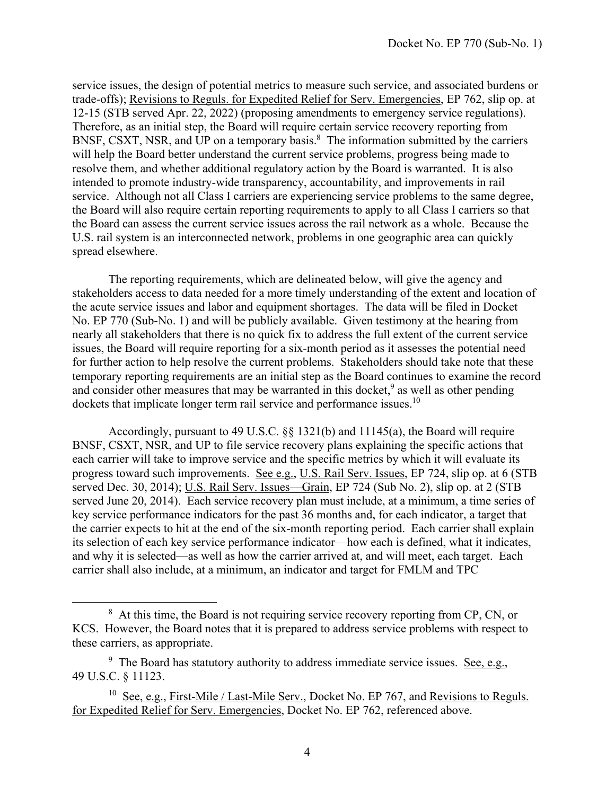service issues, the design of potential metrics to measure such service, and associated burdens or trade-offs); Revisions to Reguls. for Expedited Relief for Serv. Emergencies, EP 762, slip op. at 12-15 (STB served Apr. 22, 2022) (proposing amendments to emergency service regulations). Therefore, as an initial step, the Board will require certain service recovery reporting from BNSF, CSXT, NSR, and UP on a temporary basis.<sup>8</sup> The information submitted by the carriers will help the Board better understand the current service problems, progress being made to resolve them, and whether additional regulatory action by the Board is warranted. It is also intended to promote industry-wide transparency, accountability, and improvements in rail service. Although not all Class I carriers are experiencing service problems to the same degree, the Board will also require certain reporting requirements to apply to all Class I carriers so that the Board can assess the current service issues across the rail network as a whole. Because the U.S. rail system is an interconnected network, problems in one geographic area can quickly spread elsewhere.

The reporting requirements, which are delineated below, will give the agency and stakeholders access to data needed for a more timely understanding of the extent and location of the acute service issues and labor and equipment shortages. The data will be filed in Docket No. EP 770 (Sub-No. 1) and will be publicly available. Given testimony at the hearing from nearly all stakeholders that there is no quick fix to address the full extent of the current service issues, the Board will require reporting for a six-month period as it assesses the potential need for further action to help resolve the current problems. Stakeholders should take note that these temporary reporting requirements are an initial step as the Board continues to examine the record and consider other measures that may be warranted in this docket,  $9$  as well as other pending dockets that implicate longer term rail service and performance issues.<sup>10</sup>

Accordingly, pursuant to 49 U.S.C. §§ 1321(b) and 11145(a), the Board will require BNSF, CSXT, NSR, and UP to file service recovery plans explaining the specific actions that each carrier will take to improve service and the specific metrics by which it will evaluate its progress toward such improvements. See e.g., U.S. Rail Serv. Issues, EP 724, slip op. at 6 (STB served Dec. 30, 2014); U.S. Rail Serv. Issues—Grain, EP 724 (Sub No. 2), slip op. at 2 (STB served June 20, 2014). Each service recovery plan must include, at a minimum, a time series of key service performance indicators for the past 36 months and, for each indicator, a target that the carrier expects to hit at the end of the six-month reporting period. Each carrier shall explain its selection of each key service performance indicator—how each is defined, what it indicates, and why it is selected—as well as how the carrier arrived at, and will meet, each target. Each carrier shall also include, at a minimum, an indicator and target for FMLM and TPC

<sup>&</sup>lt;sup>8</sup> At this time, the Board is not requiring service recovery reporting from CP, CN, or KCS. However, the Board notes that it is prepared to address service problems with respect to these carriers, as appropriate.

<sup>&</sup>lt;sup>9</sup> The Board has statutory authority to address immediate service issues. <u>See, e.g.</u>, 49 U.S.C. § 11123.

<sup>&</sup>lt;sup>10</sup> See, e.g., First-Mile / Last-Mile Serv., Docket No. EP 767, and <u>Revisions to Reguls.</u> for Expedited Relief for Serv. Emergencies, Docket No. EP 762, referenced above.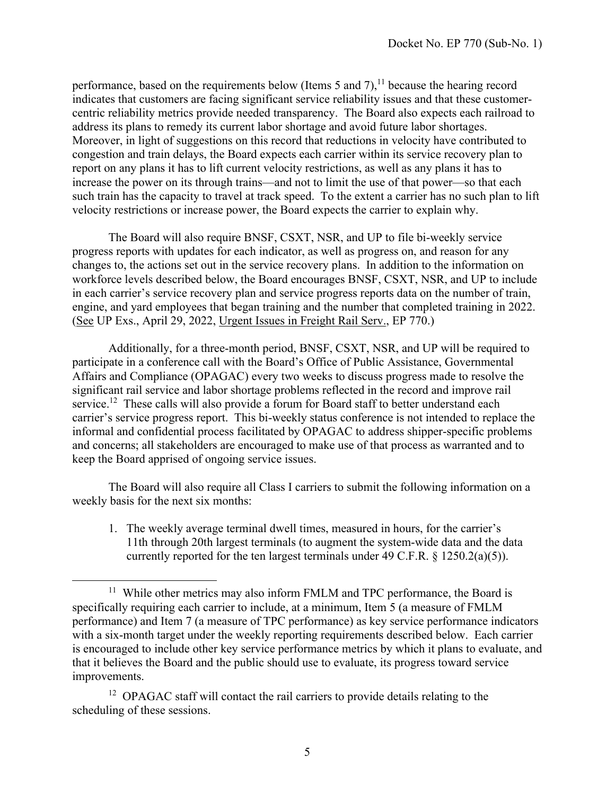performance, based on the requirements below (Items 5 and 7), $<sup>11</sup>$  because the hearing record</sup> indicates that customers are facing significant service reliability issues and that these customercentric reliability metrics provide needed transparency. The Board also expects each railroad to address its plans to remedy its current labor shortage and avoid future labor shortages. Moreover, in light of suggestions on this record that reductions in velocity have contributed to congestion and train delays, the Board expects each carrier within its service recovery plan to report on any plans it has to lift current velocity restrictions, as well as any plans it has to increase the power on its through trains—and not to limit the use of that power—so that each such train has the capacity to travel at track speed. To the extent a carrier has no such plan to lift velocity restrictions or increase power, the Board expects the carrier to explain why.

The Board will also require BNSF, CSXT, NSR, and UP to file bi-weekly service progress reports with updates for each indicator, as well as progress on, and reason for any changes to, the actions set out in the service recovery plans. In addition to the information on workforce levels described below, the Board encourages BNSF, CSXT, NSR, and UP to include in each carrier's service recovery plan and service progress reports data on the number of train, engine, and yard employees that began training and the number that completed training in 2022. (See UP Exs., April 29, 2022, Urgent Issues in Freight Rail Serv., EP 770.)

Additionally, for a three-month period, BNSF, CSXT, NSR, and UP will be required to participate in a conference call with the Board's Office of Public Assistance, Governmental Affairs and Compliance (OPAGAC) every two weeks to discuss progress made to resolve the significant rail service and labor shortage problems reflected in the record and improve rail service.<sup>12</sup> These calls will also provide a forum for Board staff to better understand each carrier's service progress report. This bi-weekly status conference is not intended to replace the informal and confidential process facilitated by OPAGAC to address shipper-specific problems and concerns; all stakeholders are encouraged to make use of that process as warranted and to keep the Board apprised of ongoing service issues.

 The Board will also require all Class I carriers to submit the following information on a weekly basis for the next six months:

1. The weekly average terminal dwell times, measured in hours, for the carrier's 11th through 20th largest terminals (to augment the system-wide data and the data currently reported for the ten largest terminals under 49 C.F.R.  $\S$  1250.2(a)(5)).

<sup>&</sup>lt;sup>11</sup> While other metrics may also inform FMLM and TPC performance, the Board is specifically requiring each carrier to include, at a minimum, Item 5 (a measure of FMLM performance) and Item 7 (a measure of TPC performance) as key service performance indicators with a six-month target under the weekly reporting requirements described below. Each carrier is encouraged to include other key service performance metrics by which it plans to evaluate, and that it believes the Board and the public should use to evaluate, its progress toward service improvements.

<sup>&</sup>lt;sup>12</sup> OPAGAC staff will contact the rail carriers to provide details relating to the scheduling of these sessions.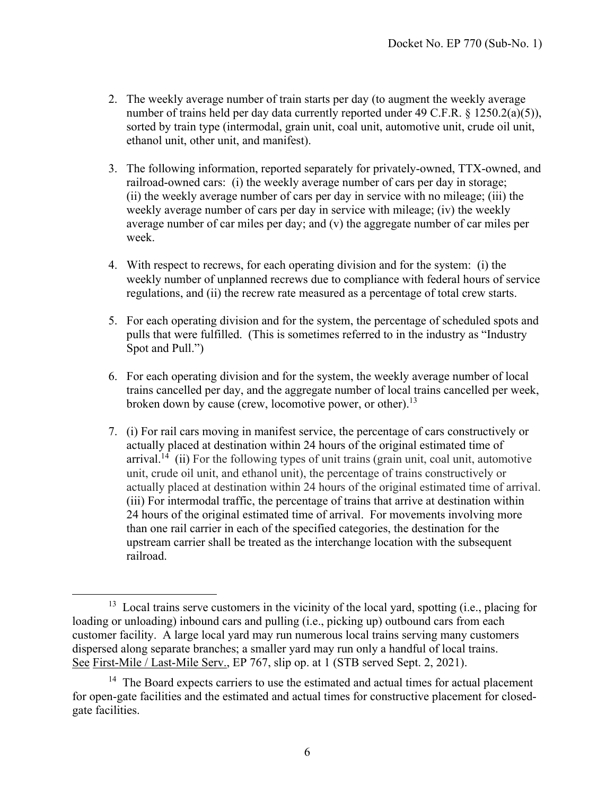- 2. The weekly average number of train starts per day (to augment the weekly average number of trains held per day data currently reported under 49 C.F.R. § 1250.2(a)(5)), sorted by train type (intermodal, grain unit, coal unit, automotive unit, crude oil unit, ethanol unit, other unit, and manifest).
- 3. The following information, reported separately for privately-owned, TTX-owned, and railroad-owned cars: (i) the weekly average number of cars per day in storage; (ii) the weekly average number of cars per day in service with no mileage; (iii) the weekly average number of cars per day in service with mileage; (iv) the weekly average number of car miles per day; and (v) the aggregate number of car miles per week.
- 4. With respect to recrews, for each operating division and for the system: (i) the weekly number of unplanned recrews due to compliance with federal hours of service regulations, and (ii) the recrew rate measured as a percentage of total crew starts.
- 5. For each operating division and for the system, the percentage of scheduled spots and pulls that were fulfilled. (This is sometimes referred to in the industry as "Industry Spot and Pull.")
- 6. For each operating division and for the system, the weekly average number of local trains cancelled per day, and the aggregate number of local trains cancelled per week, broken down by cause (crew, locomotive power, or other).<sup>13</sup>
- 7. (i) For rail cars moving in manifest service, the percentage of cars constructively or actually placed at destination within 24 hours of the original estimated time of arrival.<sup>14</sup> (ii) For the following types of unit trains (grain unit, coal unit, automotive unit, crude oil unit, and ethanol unit), the percentage of trains constructively or actually placed at destination within 24 hours of the original estimated time of arrival. (iii) For intermodal traffic, the percentage of trains that arrive at destination within 24 hours of the original estimated time of arrival. For movements involving more than one rail carrier in each of the specified categories, the destination for the upstream carrier shall be treated as the interchange location with the subsequent railroad.

<sup>&</sup>lt;sup>13</sup> Local trains serve customers in the vicinity of the local yard, spotting (i.e., placing for loading or unloading) inbound cars and pulling (i.e., picking up) outbound cars from each customer facility. A large local yard may run numerous local trains serving many customers dispersed along separate branches; a smaller yard may run only a handful of local trains. See First-Mile / Last-Mile Serv., EP 767, slip op. at 1 (STB served Sept. 2, 2021).

<sup>&</sup>lt;sup>14</sup> The Board expects carriers to use the estimated and actual times for actual placement for open-gate facilities and the estimated and actual times for constructive placement for closedgate facilities.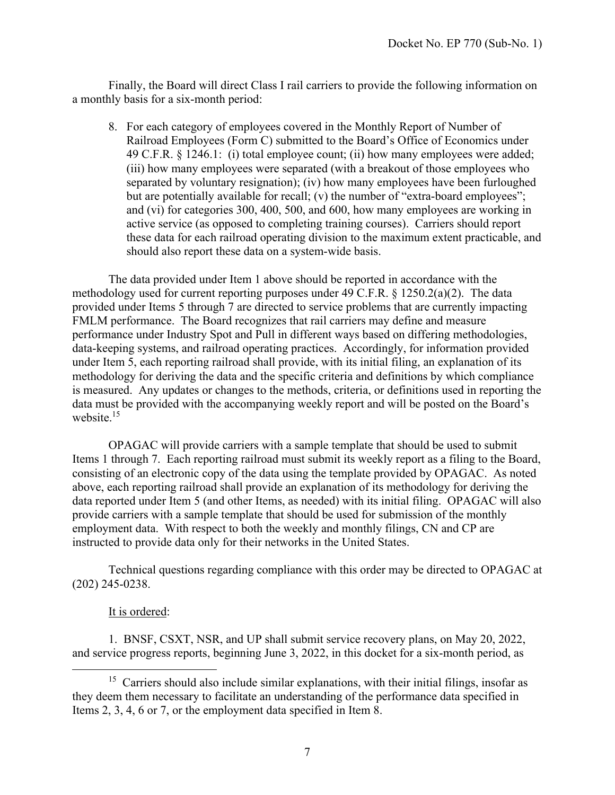Finally, the Board will direct Class I rail carriers to provide the following information on a monthly basis for a six-month period:

8. For each category of employees covered in the Monthly Report of Number of Railroad Employees (Form C) submitted to the Board's Office of Economics under 49 C.F.R. § 1246.1: (i) total employee count; (ii) how many employees were added; (iii) how many employees were separated (with a breakout of those employees who separated by voluntary resignation); (iv) how many employees have been furloughed but are potentially available for recall; (v) the number of "extra-board employees"; and (vi) for categories 300, 400, 500, and 600, how many employees are working in active service (as opposed to completing training courses). Carriers should report these data for each railroad operating division to the maximum extent practicable, and should also report these data on a system-wide basis.

The data provided under Item 1 above should be reported in accordance with the methodology used for current reporting purposes under 49 C.F.R. § 1250.2(a)(2). The data provided under Items 5 through 7 are directed to service problems that are currently impacting FMLM performance. The Board recognizes that rail carriers may define and measure performance under Industry Spot and Pull in different ways based on differing methodologies, data-keeping systems, and railroad operating practices. Accordingly, for information provided under Item 5, each reporting railroad shall provide, with its initial filing, an explanation of its methodology for deriving the data and the specific criteria and definitions by which compliance is measured. Any updates or changes to the methods, criteria, or definitions used in reporting the data must be provided with the accompanying weekly report and will be posted on the Board's website.<sup>15</sup>

OPAGAC will provide carriers with a sample template that should be used to submit Items 1 through 7. Each reporting railroad must submit its weekly report as a filing to the Board, consisting of an electronic copy of the data using the template provided by OPAGAC. As noted above, each reporting railroad shall provide an explanation of its methodology for deriving the data reported under Item 5 (and other Items, as needed) with its initial filing. OPAGAC will also provide carriers with a sample template that should be used for submission of the monthly employment data. With respect to both the weekly and monthly filings, CN and CP are instructed to provide data only for their networks in the United States.

Technical questions regarding compliance with this order may be directed to OPAGAC at (202) 245-0238.

## It is ordered:

1. BNSF, CSXT, NSR, and UP shall submit service recovery plans, on May 20, 2022, and service progress reports, beginning June 3, 2022, in this docket for a six-month period, as

<sup>&</sup>lt;sup>15</sup> Carriers should also include similar explanations, with their initial filings, insofar as they deem them necessary to facilitate an understanding of the performance data specified in Items 2, 3, 4, 6 or 7, or the employment data specified in Item 8.